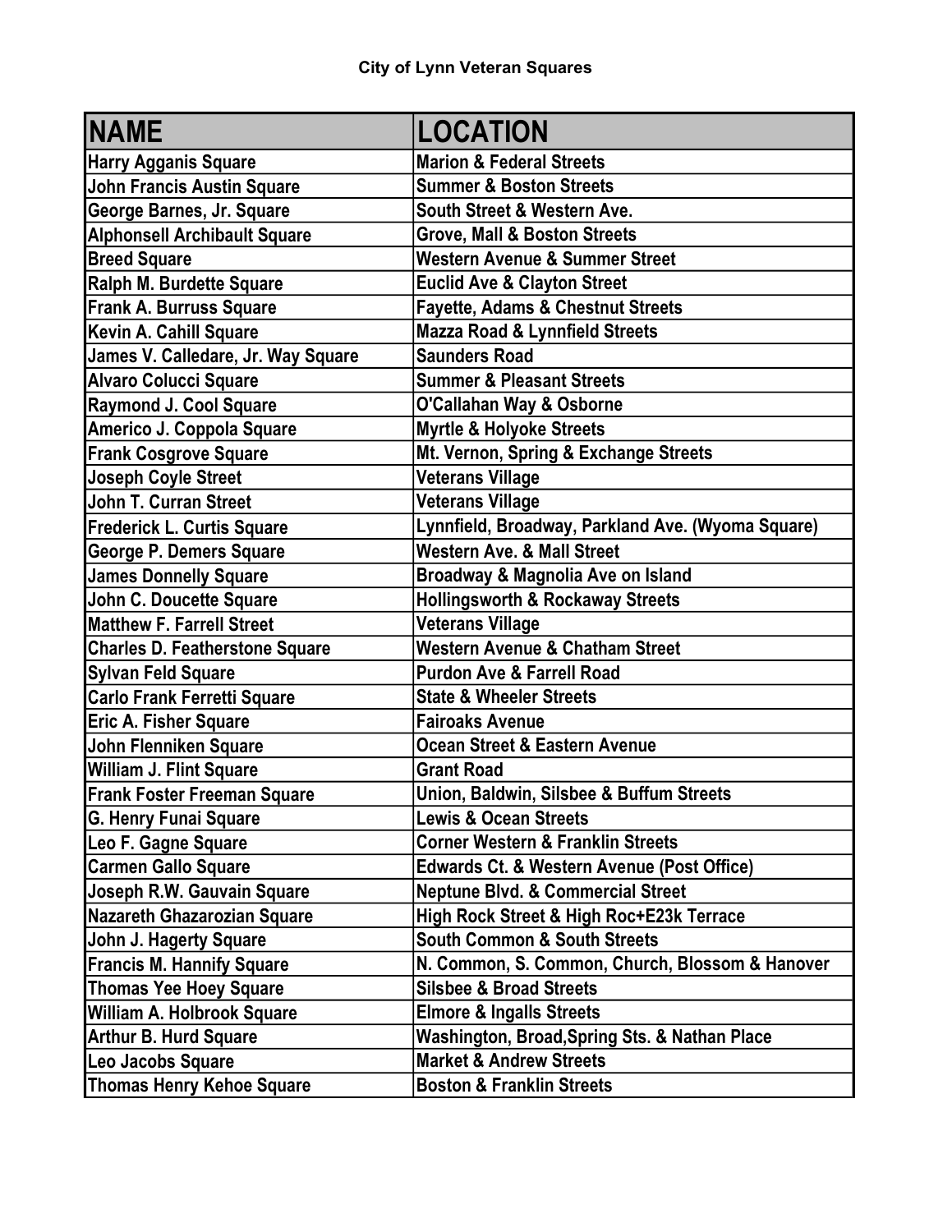| <b>NAME</b>                           | <b>LOCATION</b>                                   |
|---------------------------------------|---------------------------------------------------|
| <b>Harry Agganis Square</b>           | <b>Marion &amp; Federal Streets</b>               |
| <b>John Francis Austin Square</b>     | <b>Summer &amp; Boston Streets</b>                |
| George Barnes, Jr. Square             | South Street & Western Ave.                       |
| <b>Alphonsell Archibault Square</b>   | Grove, Mall & Boston Streets                      |
| <b>Breed Square</b>                   | <b>Western Avenue &amp; Summer Street</b>         |
| Ralph M. Burdette Square              | <b>Euclid Ave &amp; Clayton Street</b>            |
| <b>Frank A. Burruss Square</b>        | <b>Fayette, Adams &amp; Chestnut Streets</b>      |
| Kevin A. Cahill Square                | <b>Mazza Road &amp; Lynnfield Streets</b>         |
| James V. Calledare, Jr. Way Square    | <b>Saunders Road</b>                              |
| <b>Alvaro Colucci Square</b>          | <b>Summer &amp; Pleasant Streets</b>              |
| <b>Raymond J. Cool Square</b>         | O'Callahan Way & Osborne                          |
| Americo J. Coppola Square             | <b>Myrtle &amp; Holyoke Streets</b>               |
| <b>Frank Cosgrove Square</b>          | Mt. Vernon, Spring & Exchange Streets             |
| <b>Joseph Coyle Street</b>            | <b>Veterans Village</b>                           |
| <b>John T. Curran Street</b>          | <b>Veterans Village</b>                           |
| <b>Frederick L. Curtis Square</b>     | Lynnfield, Broadway, Parkland Ave. (Wyoma Square) |
| George P. Demers Square               | <b>Western Ave. &amp; Mall Street</b>             |
| <b>James Donnelly Square</b>          | Broadway & Magnolia Ave on Island                 |
| John C. Doucette Square               | <b>Hollingsworth &amp; Rockaway Streets</b>       |
| <b>Matthew F. Farrell Street</b>      | Veterans Village                                  |
| <b>Charles D. Featherstone Square</b> | <b>Western Avenue &amp; Chatham Street</b>        |
| <b>Sylvan Feld Square</b>             | <b>Purdon Ave &amp; Farrell Road</b>              |
| <b>Carlo Frank Ferretti Square</b>    | <b>State &amp; Wheeler Streets</b>                |
| <b>Eric A. Fisher Square</b>          | <b>Fairoaks Avenue</b>                            |
| John Flenniken Square                 | Ocean Street & Eastern Avenue                     |
| William J. Flint Square               | <b>Grant Road</b>                                 |
| <b>Frank Foster Freeman Square</b>    | Union, Baldwin, Silsbee & Buffum Streets          |
| <b>G. Henry Funai Square</b>          | <b>Lewis &amp; Ocean Streets</b>                  |
| Leo F. Gagne Square                   | <b>Corner Western &amp; Franklin Streets</b>      |
| <b>Carmen Gallo Square</b>            | Edwards Ct. & Western Avenue (Post Office)        |
| Joseph R.W. Gauvain Square            | <b>Neptune Blvd. &amp; Commercial Street</b>      |
| <b>Nazareth Ghazarozian Square</b>    | High Rock Street & High Roc+E23k Terrace          |
| <b>John J. Hagerty Square</b>         | <b>South Common &amp; South Streets</b>           |
| <b>Francis M. Hannify Square</b>      | N. Common, S. Common, Church, Blossom & Hanover   |
| <b>Thomas Yee Hoey Square</b>         | <b>Silsbee &amp; Broad Streets</b>                |
| William A. Holbrook Square            | <b>Elmore &amp; Ingalls Streets</b>               |
| <b>Arthur B. Hurd Square</b>          | Washington, Broad, Spring Sts. & Nathan Place     |
| Leo Jacobs Square                     | <b>Market &amp; Andrew Streets</b>                |
| <b>Thomas Henry Kehoe Square</b>      | <b>Boston &amp; Franklin Streets</b>              |